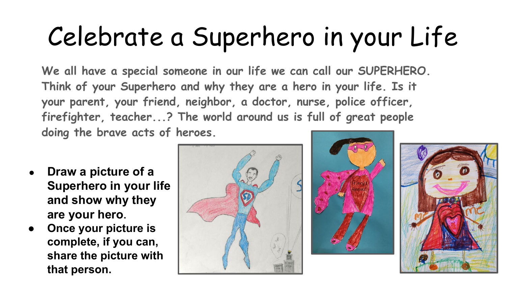## Celebrate a Superhero in your Life

**We all have a special someone in our life we can call our SUPERHERO. Think of your Superhero and why they are a hero in your life. Is it your parent, your friend, neighbor, a doctor, nurse, police officer, firefighter, teacher...? The world around us is full of great people doing the brave acts of heroes.** 

- **● Draw a picture of a Superhero in your life and show why they are your hero.**
- **● Once your picture is complete, if you can, share the picture with that person.**





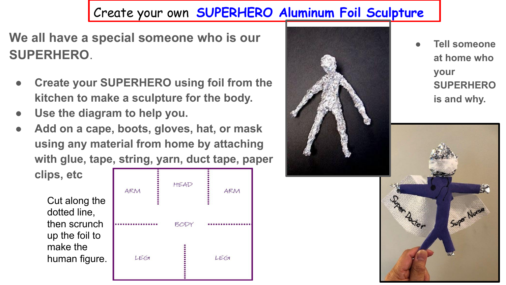## Create your own **SUPERHERO Aluminum Foil Sculpture**

**We all have a special someone who is our SUPERHERO**.

- **Create your SUPERHERO using foil from the kitchen to make a sculpture for the body.**
- **● Use the diagram to help you.**
- **● Add on a cape, boots, gloves, hat, or mask using any material from home by attaching with glue, tape, string, yarn, duct tape, paper**

Cut along the dotted line, then scrunch up the foil to make the human figure.

**clips, etc**





● **Tell someone at home who your SUPERHERO is and why.**

Super Nurse